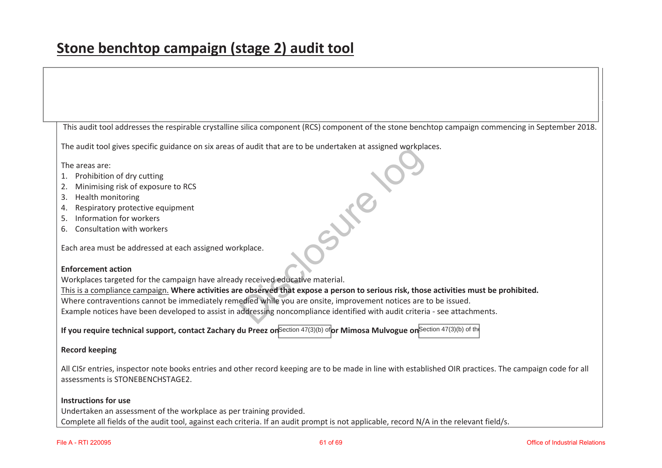This audit tool addresses the respirable crystalline silica component (RCS) component of the stone benchtop campaign commencing in September 2018.

The audit tool gives specific guidance on six areas of audit that are to be undertaken at assigned workplaces. Signed Workpla

The areas are:

- 1. Prohibition of dry cutting
- 2. Minimising risk of exposure to RCS
- 3. Health monitoring
- 4. Respiratory protective equipment
- 5. Information for workers
- 6. Consultation with workers

Each area must be addressed at each assigned workplace.

### **Enforcement action**

Workplaces targeted for the campaign have already received educative material.

This is a compliance campaign. **Where activities are observed that expose a person to serious risk, those activities must be prohibited.** 

Where contraventions cannot be immediately remedied while you are onsite, improvement notices are to be issued.

Example notices have been developed to assist in addressing noncompliance identified with audit criteria - see attachments. kplace.<br>
y received educative material.<br>
e observed that expose a person to seriou<br>
edied while you are onsite, improvement r<br>
iddressing noncompliance identified with a

**If you require technical support, contact Zachary du Preez on<sup>Section 47(3)(b) of <b>or Mimosa Mulvogue on** Section 47(3)(b) of the</sup>

### **Record keeping**

All CISr entries, inspector note books entries and other record keeping are to be made in line with established OIR practices. The campaign code for all assessments is STONEBENCHSTAGE2.

#### **Instructions for use**

Undertaken an assessment of the workplace as per training provided. Complete all fields of the audit tool, against each criteria. If an audit prompt is not applicable, record N/A in the relevant field/s.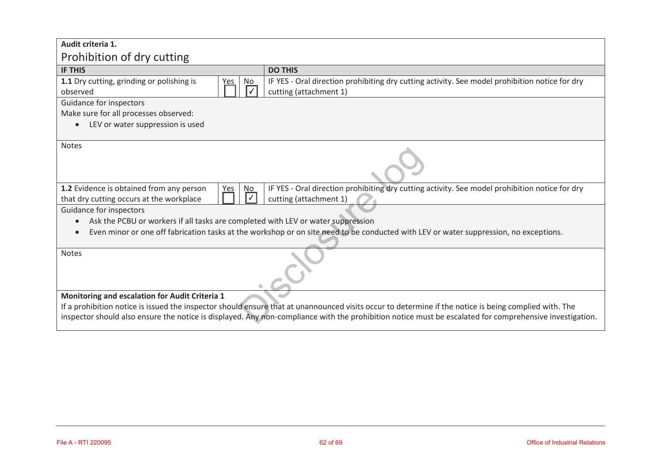| Audit criteria 1.                                                                                 |                                                                                                                                                                                                                                                                                                                  |
|---------------------------------------------------------------------------------------------------|------------------------------------------------------------------------------------------------------------------------------------------------------------------------------------------------------------------------------------------------------------------------------------------------------------------|
| Prohibition of dry cutting                                                                        |                                                                                                                                                                                                                                                                                                                  |
| <b>IF THIS</b>                                                                                    | <b>DO THIS</b>                                                                                                                                                                                                                                                                                                   |
| 1.1 Dry cutting, grinding or polishing is<br>No<br><u>Yes</u><br>observed                         | IF YES - Oral direction prohibiting dry cutting activity. See model prohibition notice for dry<br>cutting (attachment 1)                                                                                                                                                                                         |
| Guidance for inspectors                                                                           |                                                                                                                                                                                                                                                                                                                  |
| Make sure for all processes observed:                                                             |                                                                                                                                                                                                                                                                                                                  |
| LEV or water suppression is used                                                                  |                                                                                                                                                                                                                                                                                                                  |
| <b>Notes</b>                                                                                      |                                                                                                                                                                                                                                                                                                                  |
| 1.2 Evidence is obtained from any person<br>No<br>Yes<br>that dry cutting occurs at the workplace | IF YES - Oral direction prohibiting dry cutting activity. See model prohibition notice for dry<br>cutting (attachment 1)                                                                                                                                                                                         |
| Guidance for inspectors                                                                           |                                                                                                                                                                                                                                                                                                                  |
| Ask the PCBU or workers if all tasks are completed with LEV or water suppression                  |                                                                                                                                                                                                                                                                                                                  |
|                                                                                                   | Even minor or one off fabrication tasks at the workshop or on site need to be conducted with LEV or water suppression, no exceptions.                                                                                                                                                                            |
| Notes                                                                                             |                                                                                                                                                                                                                                                                                                                  |
| Monitoring and escalation for Audit Criteria 1                                                    | If a prohibition notice is issued the inspector should ensure that at unannounced visits occur to determine if the notice is being complied with. The<br>inspector should also ensure the notice is displayed. Any non-compliance with the prohibition notice must be escalated for comprehensive investigation. |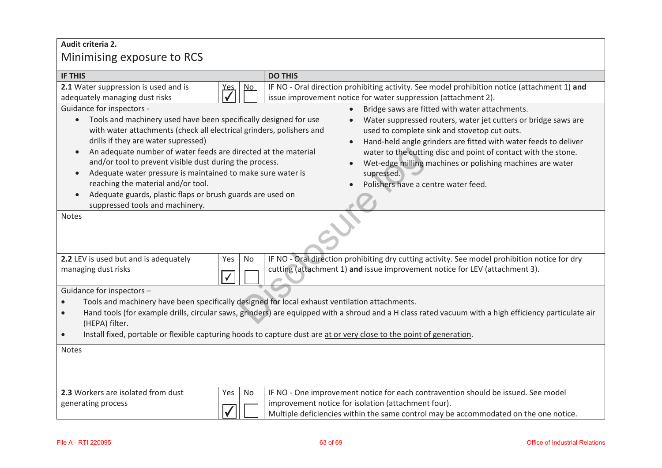# **Audit criteria 2.**  Minimising exposure to RCS

| <b>IF THIS</b>                                                                                                                                                                                                                                                                                                                                                                                                                                                                                                                                                                                                                                                                                                                                                                                                                                                                                                                                                                                                    |            |                           | <b>DO THIS</b>                                                                                                                                                                                                                   |
|-------------------------------------------------------------------------------------------------------------------------------------------------------------------------------------------------------------------------------------------------------------------------------------------------------------------------------------------------------------------------------------------------------------------------------------------------------------------------------------------------------------------------------------------------------------------------------------------------------------------------------------------------------------------------------------------------------------------------------------------------------------------------------------------------------------------------------------------------------------------------------------------------------------------------------------------------------------------------------------------------------------------|------------|---------------------------|----------------------------------------------------------------------------------------------------------------------------------------------------------------------------------------------------------------------------------|
| 2.1 Water suppression is used and is<br>adequately managing dust risks                                                                                                                                                                                                                                                                                                                                                                                                                                                                                                                                                                                                                                                                                                                                                                                                                                                                                                                                            | <u>Yes</u> | $\underline{\mathsf{No}}$ | IF NO - Oral direction prohibiting activity. See model prohibition notice (attachment 1) and<br>issue improvement notice for water suppression (attachment 2).                                                                   |
| Guidance for inspectors -<br>Bridge saws are fitted with water attachments.<br>Tools and machinery used have been specifically designed for use<br>Water suppressed routers, water jet cutters or bridge saws are<br>$\bullet$<br>with water attachments (check all electrical grinders, polishers and<br>used to complete sink and stovetop cut outs.<br>drills if they are water supressed)<br>Hand-held angle grinders are fitted with water feeds to deliver<br>An adequate number of water feeds are directed at the material<br>water to the cutting disc and point of contact with the stone.<br>and/or tool to prevent visible dust during the process.<br>Wet-edge milling machines or polishing machines are water<br>Adequate water pressure is maintained to make sure water is<br>supressed.<br>$\bullet$<br>reaching the material and/or tool.<br>Polishers have a centre water feed.<br>Adequate guards, plastic flaps or brush guards are used on<br>$\bullet$<br>suppressed tools and machinery. |            |                           |                                                                                                                                                                                                                                  |
| <b>Notes</b>                                                                                                                                                                                                                                                                                                                                                                                                                                                                                                                                                                                                                                                                                                                                                                                                                                                                                                                                                                                                      |            |                           |                                                                                                                                                                                                                                  |
| 2.2 LEV is used but and is adequately<br>managing dust risks                                                                                                                                                                                                                                                                                                                                                                                                                                                                                                                                                                                                                                                                                                                                                                                                                                                                                                                                                      | Yes        | No                        | IF NO - Oral direction prohibiting dry cutting activity. See model prohibition notice for dry<br>cutting (attachment 1) and issue improvement notice for LEV (attachment 3).                                                     |
| Guidance for inspectors -<br>Tools and machinery have been specifically designed for local exhaust ventilation attachments.<br>$\bullet$<br>Hand tools (for example drills, circular saws, grinders) are equipped with a shroud and a H class rated vacuum with a high efficiency particulate air<br>$\bullet$<br>(HEPA) filter.<br>Install fixed, portable or flexible capturing hoods to capture dust are at or very close to the point of generation.<br>$\bullet$                                                                                                                                                                                                                                                                                                                                                                                                                                                                                                                                             |            |                           |                                                                                                                                                                                                                                  |
| Notes                                                                                                                                                                                                                                                                                                                                                                                                                                                                                                                                                                                                                                                                                                                                                                                                                                                                                                                                                                                                             |            |                           |                                                                                                                                                                                                                                  |
| 2.3 Workers are isolated from dust<br>generating process                                                                                                                                                                                                                                                                                                                                                                                                                                                                                                                                                                                                                                                                                                                                                                                                                                                                                                                                                          | Yes        | No                        | IF NO - One improvement notice for each contravention should be issued. See model<br>improvement notice for isolation (attachment four).<br>Multiple deficiencies within the same control may be accommodated on the one notice. |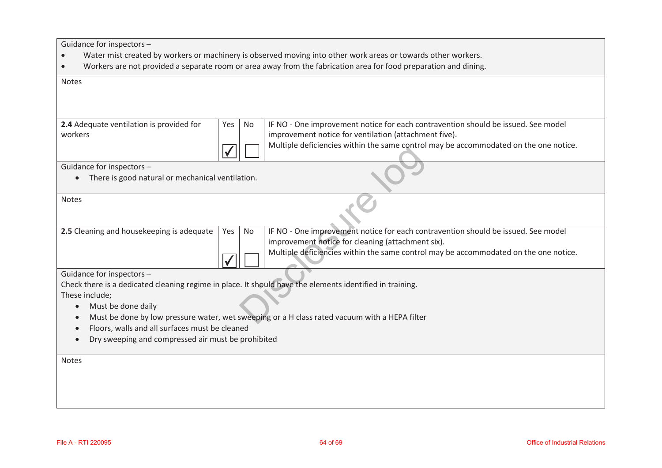Guidance for inspectors –

- $\bullet$ Water mist created by workers or machinery is observed moving into other work areas or towards other workers.
- $\bullet$ Workers are not provided a separate room or area away from the fabrication area for food preparation and dining.

| <b>Notes</b>                                                                                                                                    |                                                                                                          |  |  |  |
|-------------------------------------------------------------------------------------------------------------------------------------------------|----------------------------------------------------------------------------------------------------------|--|--|--|
|                                                                                                                                                 |                                                                                                          |  |  |  |
|                                                                                                                                                 |                                                                                                          |  |  |  |
| 2.4 Adequate ventilation is provided for                                                                                                        | IF NO - One improvement notice for each contravention should be issued. See model<br>Yes<br>No           |  |  |  |
| workers                                                                                                                                         | improvement notice for ventilation (attachment five).                                                    |  |  |  |
|                                                                                                                                                 | Multiple deficiencies within the same control may be accommodated on the one notice.                     |  |  |  |
| Guidance for inspectors -<br>There is good natural or mechanical ventilation.                                                                   |                                                                                                          |  |  |  |
| <b>Notes</b>                                                                                                                                    |                                                                                                          |  |  |  |
| 2.5 Cleaning and housekeeping is adequate                                                                                                       | IF NO - One improvement notice for each contravention should be issued. See model<br>No<br>Yes           |  |  |  |
|                                                                                                                                                 | improvement notice for cleaning (attachment six).                                                        |  |  |  |
|                                                                                                                                                 | Multiple deficiencies within the same control may be accommodated on the one notice.                     |  |  |  |
| Guidance for inspectors -                                                                                                                       |                                                                                                          |  |  |  |
|                                                                                                                                                 | Check there is a dedicated cleaning regime in place. It should have the elements identified in training. |  |  |  |
| These include;<br>$\bullet$                                                                                                                     |                                                                                                          |  |  |  |
| Must be done daily                                                                                                                              |                                                                                                          |  |  |  |
| Must be done by low pressure water, wet sweeping or a H class rated vacuum with a HEPA filter<br>Floors, walls and all surfaces must be cleaned |                                                                                                          |  |  |  |
| Dry sweeping and compressed air must be prohibited                                                                                              |                                                                                                          |  |  |  |
|                                                                                                                                                 |                                                                                                          |  |  |  |
| <b>Notes</b>                                                                                                                                    |                                                                                                          |  |  |  |
|                                                                                                                                                 |                                                                                                          |  |  |  |
|                                                                                                                                                 |                                                                                                          |  |  |  |
|                                                                                                                                                 |                                                                                                          |  |  |  |
|                                                                                                                                                 |                                                                                                          |  |  |  |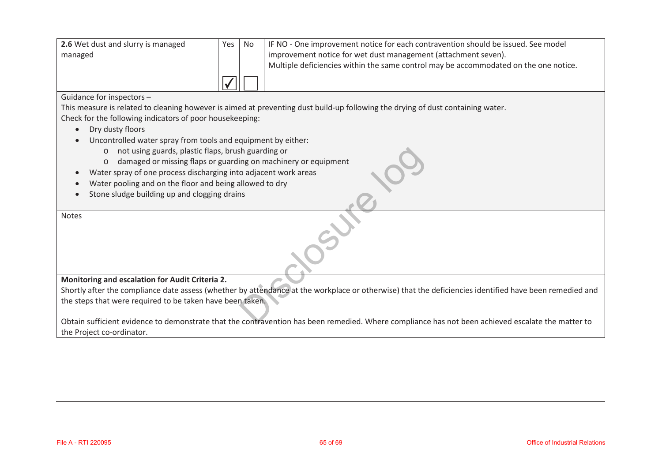| 2.6 Wet dust and slurry is managed | Yes I | <b>No</b> | IF NO - One improvement notice for each contravention should be issued. See model    |
|------------------------------------|-------|-----------|--------------------------------------------------------------------------------------|
| managed                            |       |           | improvement notice for wet dust management (attachment seven).                       |
|                                    |       |           | Multiple deficiencies within the same control may be accommodated on the one notice. |
|                                    |       |           |                                                                                      |

### Guidance for inspectors –

This measure is related to cleaning however is aimed at preventing dust build-up following the drying of dust containing water. Check for the following indicators of poor housekeeping:

- Dry dusty floors
- $\bullet$  Uncontrolled water spray from tools and equipment by either:
	- o not using guards, plastic flaps, brush guarding or
	- o damaged or missing flaps or guarding on machinery or equipment
	- Water spray of one process discharging into adjacent work areas
- $\bullet$ Water pooling and on the floor and being allowed to dry
- $\bullet$ Stone sludge building up and clogging drains

| ۰.<br>×<br>×<br>۰.<br>۰. |  |
|--------------------------|--|
|--------------------------|--|

 $\bullet$ 

### **Monitoring and escalation for Audit Criteria 2.**

Shortly after the compliance date assess (whether by attendance at the workplace or otherwise) that the deficiencies identified have been remedied and the steps that were required to be taken have been taken. th guarding or<br>
ing on machinery or equipment<br>
o adjacent work areas<br>
Illowed to dry<br>
Is<br>
Supposed to dry<br>
Discussion of the workplace or otherwise) that the<br>
properties of the workplace or otherwise) that the<br>
properties

Obtain sufficient evidence to demonstrate that the contravention has been remedied. Where compliance has not been achieved escalate the matter to the Project co-ordinator.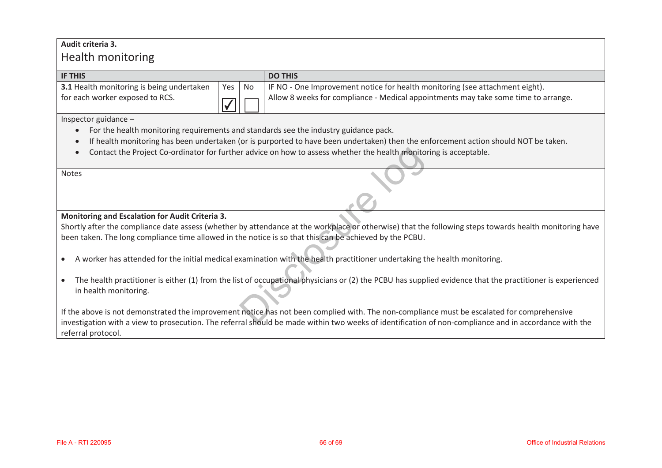### **Audit criteria 3.**

# Health monitoring

| <b>IF THIS</b>                                   |          | <b>DO THIS</b>                                                                     |
|--------------------------------------------------|----------|------------------------------------------------------------------------------------|
| <b>3.1</b> Health monitoring is being undertaken | Yes   No | IF NO - One Improvement notice for health monitoring (see attachment eight).       |
| for each worker exposed to RCS.                  |          | Allow 8 weeks for compliance - Medical appointments may take some time to arrange. |

Inspector guidance –

- $\bullet$ For the health monitoring requirements and standards see the industry guidance pack.
- $\bullet$ If health monitoring has been undertaken (or is purported to have been undertaken) then the enforcement action should NOT be taken.
- $\bullet$ Contact the Project Co-ordinator for further advice on how to assess whether the health monitoring is acceptable.

Notes

### **Monitoring and Escalation for Audit Criteria 3.**

Shortly after the compliance date assess (whether by attendance at the workplace or otherwise) that the following steps towards health monitoring have been taken. The long compliance time allowed in the notice is so that this can be achieved by the PCBU.

- $\bullet$ A worker has attended for the initial medical examination with the health practitioner undertaking the health monitoring.
- The health practitioner is either (1) from the list of occupational physicians or (2) the PCBU has supplied evidence that the practitioner is experienced in health monitoring. In a divide on how to assess whether the health monitor<br>
by attendance at the workplace or otherwise) that the<br>
he notice is so that this can be achieved by the PCBU.<br>
Sumination with the health practitioner undertaking th

If the above is not demonstrated the improvement notice has not been complied with. The non-compliance must be escalated for comprehensive investigation with a view to prosecution. The referral should be made within two weeks of identification of non-compliance and in accordance with the referral protocol.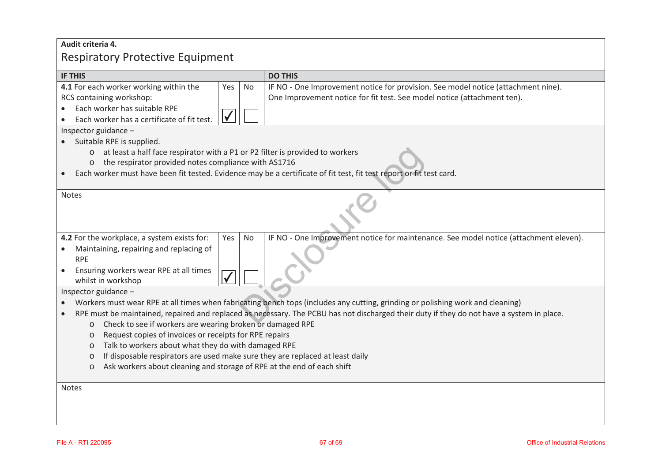## **Audit criteria 4.**  Respiratory Protective Equipment

| <b>IF THIS</b><br><b>DO THIS</b><br>4.1 For each worker working within the<br>IF NO - One Improvement notice for provision. See model notice (attachment nine).<br>Yes<br><b>No</b><br>RCS containing workshop:<br>One Improvement notice for fit test. See model notice (attachment ten).<br>Each worker has suitable RPE<br>$\bullet$<br>Each worker has a certificate of fit test.<br>Inspector guidance -<br>Suitable RPE is supplied.<br>at least a half face respirator with a P1 or P2 filter is provided to workers<br>$\circ$<br>the respirator provided notes compliance with AS1716<br>$\circ$<br>Each worker must have been fit tested. Evidence may be a certificate of fit test, fit test report or fit test card.<br>Notes<br>4.2 For the workplace, a system exists for:<br>IF NO - One Improvement notice for maintenance. See model notice (attachment eleven).<br><b>No</b><br>Yes<br>Maintaining, repairing and replacing of<br><b>RPE</b><br>Ensuring workers wear RPE at all times<br>$\bullet$<br>whilst in workshop<br>Inspector guidance -<br>Workers must wear RPE at all times when fabricating bench tops (includes any cutting, grinding or polishing work and cleaning)<br>$\bullet$<br>RPE must be maintained, repaired and replaced as necessary. The PCBU has not discharged their duty if they do not have a system in place.<br>Check to see if workers are wearing broken or damaged RPE<br>$\circ$<br>Request copies of invoices or receipts for RPE repairs<br>$\circ$ |  |  |
|--------------------------------------------------------------------------------------------------------------------------------------------------------------------------------------------------------------------------------------------------------------------------------------------------------------------------------------------------------------------------------------------------------------------------------------------------------------------------------------------------------------------------------------------------------------------------------------------------------------------------------------------------------------------------------------------------------------------------------------------------------------------------------------------------------------------------------------------------------------------------------------------------------------------------------------------------------------------------------------------------------------------------------------------------------------------------------------------------------------------------------------------------------------------------------------------------------------------------------------------------------------------------------------------------------------------------------------------------------------------------------------------------------------------------------------------------------------------------------------------------------------|--|--|
|                                                                                                                                                                                                                                                                                                                                                                                                                                                                                                                                                                                                                                                                                                                                                                                                                                                                                                                                                                                                                                                                                                                                                                                                                                                                                                                                                                                                                                                                                                              |  |  |
|                                                                                                                                                                                                                                                                                                                                                                                                                                                                                                                                                                                                                                                                                                                                                                                                                                                                                                                                                                                                                                                                                                                                                                                                                                                                                                                                                                                                                                                                                                              |  |  |
|                                                                                                                                                                                                                                                                                                                                                                                                                                                                                                                                                                                                                                                                                                                                                                                                                                                                                                                                                                                                                                                                                                                                                                                                                                                                                                                                                                                                                                                                                                              |  |  |
|                                                                                                                                                                                                                                                                                                                                                                                                                                                                                                                                                                                                                                                                                                                                                                                                                                                                                                                                                                                                                                                                                                                                                                                                                                                                                                                                                                                                                                                                                                              |  |  |
|                                                                                                                                                                                                                                                                                                                                                                                                                                                                                                                                                                                                                                                                                                                                                                                                                                                                                                                                                                                                                                                                                                                                                                                                                                                                                                                                                                                                                                                                                                              |  |  |
|                                                                                                                                                                                                                                                                                                                                                                                                                                                                                                                                                                                                                                                                                                                                                                                                                                                                                                                                                                                                                                                                                                                                                                                                                                                                                                                                                                                                                                                                                                              |  |  |
|                                                                                                                                                                                                                                                                                                                                                                                                                                                                                                                                                                                                                                                                                                                                                                                                                                                                                                                                                                                                                                                                                                                                                                                                                                                                                                                                                                                                                                                                                                              |  |  |
|                                                                                                                                                                                                                                                                                                                                                                                                                                                                                                                                                                                                                                                                                                                                                                                                                                                                                                                                                                                                                                                                                                                                                                                                                                                                                                                                                                                                                                                                                                              |  |  |
|                                                                                                                                                                                                                                                                                                                                                                                                                                                                                                                                                                                                                                                                                                                                                                                                                                                                                                                                                                                                                                                                                                                                                                                                                                                                                                                                                                                                                                                                                                              |  |  |
|                                                                                                                                                                                                                                                                                                                                                                                                                                                                                                                                                                                                                                                                                                                                                                                                                                                                                                                                                                                                                                                                                                                                                                                                                                                                                                                                                                                                                                                                                                              |  |  |
|                                                                                                                                                                                                                                                                                                                                                                                                                                                                                                                                                                                                                                                                                                                                                                                                                                                                                                                                                                                                                                                                                                                                                                                                                                                                                                                                                                                                                                                                                                              |  |  |
|                                                                                                                                                                                                                                                                                                                                                                                                                                                                                                                                                                                                                                                                                                                                                                                                                                                                                                                                                                                                                                                                                                                                                                                                                                                                                                                                                                                                                                                                                                              |  |  |
|                                                                                                                                                                                                                                                                                                                                                                                                                                                                                                                                                                                                                                                                                                                                                                                                                                                                                                                                                                                                                                                                                                                                                                                                                                                                                                                                                                                                                                                                                                              |  |  |
|                                                                                                                                                                                                                                                                                                                                                                                                                                                                                                                                                                                                                                                                                                                                                                                                                                                                                                                                                                                                                                                                                                                                                                                                                                                                                                                                                                                                                                                                                                              |  |  |
|                                                                                                                                                                                                                                                                                                                                                                                                                                                                                                                                                                                                                                                                                                                                                                                                                                                                                                                                                                                                                                                                                                                                                                                                                                                                                                                                                                                                                                                                                                              |  |  |
|                                                                                                                                                                                                                                                                                                                                                                                                                                                                                                                                                                                                                                                                                                                                                                                                                                                                                                                                                                                                                                                                                                                                                                                                                                                                                                                                                                                                                                                                                                              |  |  |
|                                                                                                                                                                                                                                                                                                                                                                                                                                                                                                                                                                                                                                                                                                                                                                                                                                                                                                                                                                                                                                                                                                                                                                                                                                                                                                                                                                                                                                                                                                              |  |  |
|                                                                                                                                                                                                                                                                                                                                                                                                                                                                                                                                                                                                                                                                                                                                                                                                                                                                                                                                                                                                                                                                                                                                                                                                                                                                                                                                                                                                                                                                                                              |  |  |
|                                                                                                                                                                                                                                                                                                                                                                                                                                                                                                                                                                                                                                                                                                                                                                                                                                                                                                                                                                                                                                                                                                                                                                                                                                                                                                                                                                                                                                                                                                              |  |  |
|                                                                                                                                                                                                                                                                                                                                                                                                                                                                                                                                                                                                                                                                                                                                                                                                                                                                                                                                                                                                                                                                                                                                                                                                                                                                                                                                                                                                                                                                                                              |  |  |
|                                                                                                                                                                                                                                                                                                                                                                                                                                                                                                                                                                                                                                                                                                                                                                                                                                                                                                                                                                                                                                                                                                                                                                                                                                                                                                                                                                                                                                                                                                              |  |  |
| Talk to workers about what they do with damaged RPE<br>$\circ$                                                                                                                                                                                                                                                                                                                                                                                                                                                                                                                                                                                                                                                                                                                                                                                                                                                                                                                                                                                                                                                                                                                                                                                                                                                                                                                                                                                                                                               |  |  |
| If disposable respirators are used make sure they are replaced at least daily<br>$\circ$                                                                                                                                                                                                                                                                                                                                                                                                                                                                                                                                                                                                                                                                                                                                                                                                                                                                                                                                                                                                                                                                                                                                                                                                                                                                                                                                                                                                                     |  |  |
| Ask workers about cleaning and storage of RPE at the end of each shift<br>$\circ$                                                                                                                                                                                                                                                                                                                                                                                                                                                                                                                                                                                                                                                                                                                                                                                                                                                                                                                                                                                                                                                                                                                                                                                                                                                                                                                                                                                                                            |  |  |
| <b>Notes</b>                                                                                                                                                                                                                                                                                                                                                                                                                                                                                                                                                                                                                                                                                                                                                                                                                                                                                                                                                                                                                                                                                                                                                                                                                                                                                                                                                                                                                                                                                                 |  |  |
|                                                                                                                                                                                                                                                                                                                                                                                                                                                                                                                                                                                                                                                                                                                                                                                                                                                                                                                                                                                                                                                                                                                                                                                                                                                                                                                                                                                                                                                                                                              |  |  |
|                                                                                                                                                                                                                                                                                                                                                                                                                                                                                                                                                                                                                                                                                                                                                                                                                                                                                                                                                                                                                                                                                                                                                                                                                                                                                                                                                                                                                                                                                                              |  |  |
|                                                                                                                                                                                                                                                                                                                                                                                                                                                                                                                                                                                                                                                                                                                                                                                                                                                                                                                                                                                                                                                                                                                                                                                                                                                                                                                                                                                                                                                                                                              |  |  |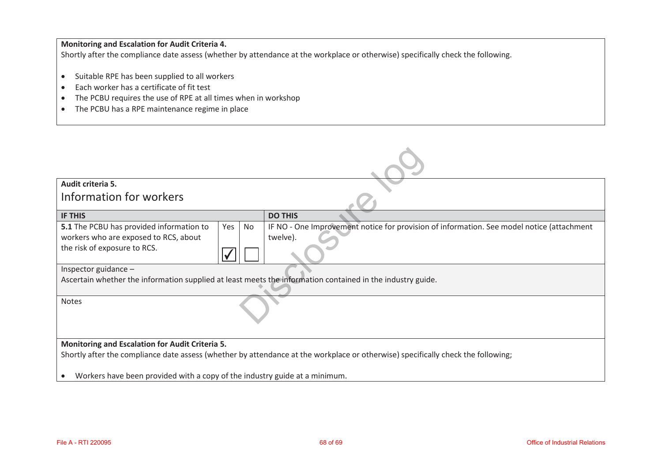### **Monitoring and Escalation for Audit Criteria 4.**

Shortly after the compliance date assess (whether by attendance at the workplace or otherwise) specifically check the following.

- Suitable RPE has been supplied to all workers
- $\bullet$ Each worker has a certificate of fit test
- $\bullet$ The PCBU requires the use of RPE at all times when in workshop
- The PCBU has a RPE maintenance regime in place

| Audit criteria 5.                                                                                                                |                                                                                           |  |  |
|----------------------------------------------------------------------------------------------------------------------------------|-------------------------------------------------------------------------------------------|--|--|
| Information for workers                                                                                                          |                                                                                           |  |  |
| <b>IF THIS</b>                                                                                                                   | <b>DO THIS</b>                                                                            |  |  |
| 5.1 The PCBU has provided information to<br>Yes<br>No                                                                            | IF NO - One Improvement notice for provision of information. See model notice (attachment |  |  |
| workers who are exposed to RCS, about                                                                                            | twelve).                                                                                  |  |  |
| the risk of exposure to RCS.                                                                                                     |                                                                                           |  |  |
| Inspector guidance -                                                                                                             |                                                                                           |  |  |
| Ascertain whether the information supplied at least meets the information contained in the industry guide.                       |                                                                                           |  |  |
| Notes                                                                                                                            |                                                                                           |  |  |
| Monitoring and Escalation for Audit Criteria 5.                                                                                  |                                                                                           |  |  |
| Shortly after the compliance date assess (whether by attendance at the workplace or otherwise) specifically check the following; |                                                                                           |  |  |
| Workers have been provided with a copy of the industry guide at a minimum.                                                       |                                                                                           |  |  |